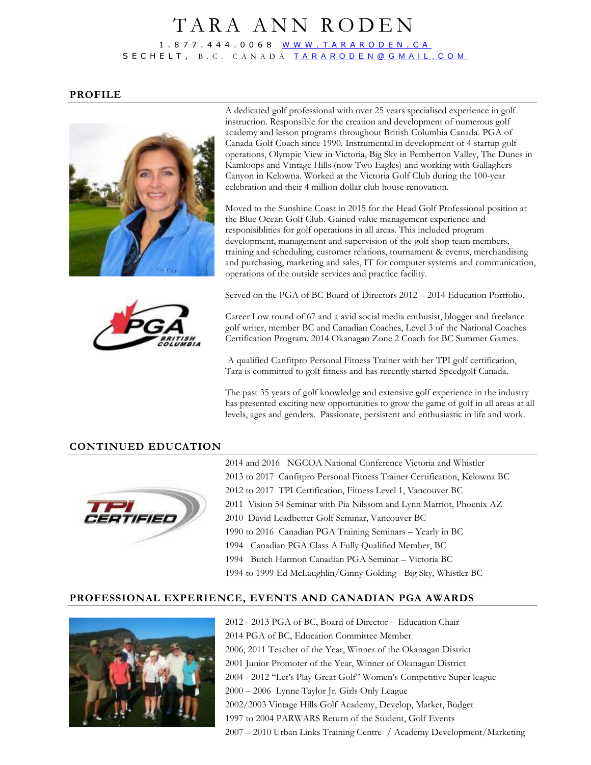## TARA ANN RODEN 1 . 8 7 7 . 4 4 4 . 0 0 6 8 [W W W . T A R A R O D E N . C A](http://www.tararoden.ca/) S E C H E L T , B . C . C A N A D A [T A R A R O D E N @ G M A I L . C O M](mailto:tararoden@gmail.com)

#### **PROFILE**





Moved to the Sunshine Coast in 2015 for the Head Golf Professional position at the Blue Ocean Golf Club. Gained value management experience and responisiblities for golf operations in all areas. This included program development, management and supervision of the golf shop team members, training and scheduling, customer relations, tournament & events, merchandising and purchasing, marketing and sales, IT for computer systems and communication, operations of the outside services and practice facility.



Served on the PGA of BC Board of Directors 2012 – 2014 Education Portfolio.

Career Low round of 67 and a avid social media enthusist, blogger and freelance golf writer, member BC and Canadian Coaches, Level 3 of the National Coaches Certification Program. 2014 Okanagan Zone 2 Coach for BC Summer Games.

A qualified Canfitpro Personal Fitness Trainer with her TPI golf certification, Tara is committed to golf fitness and has recently started Speedgolf Canada.

The past 35 years of golf knowledge and extensive golf experience in the industry has presented exciting new opportunities to grow the game of golf in all areas at all levels, ages and genders. Passionate, persistent and enthusiastic in life and work.

### **CONTINUED EDUCATION**



2014 and 2016 NGCOA National Conference Victoria and Whistler 2013 to 2017 Canfitpro Personal Fitness Trainer Certification, Kelowna BC 2012 to 2017 TPI Certification, Fitness Level 1, Vancouver BC 2011 Vision 54 Seminar with Pia Nilssom and Lynn Marriot, Phoenix AZ 2010 David Leadbetter Golf Seminar, Vancouver BC 1990 to 2016 Canadian PGA Training Seminars – Yearly in BC 1994 Canadian PGA Class A Fully Qualified Member, BC 1994 Butch Harmon Canadian PGA Seminar – Victoria BC 1994 to 1999 Ed McLaughlin/Ginny Golding - Big Sky, Whistler BC

### **PROFESSIONAL EXPERIENCE, EVENTS AND CANADIAN PGA AWARDS**



2012 - 2013 PGA of BC, Board of Director – Education Chair 2014 PGA of BC, Education Committee Member 2006, 2011 Teacher of the Year, Winner of the Okanagan District 2001 Junior Promoter of the Year, Winner of Okanagan District 2004 - 2012 "Let's Play Great Golf" Women's Competitive Super league 2000 – 2006 Lynne Taylor Jr. Girls Only League 2002/2003 Vintage Hills Golf Academy, Develop, Market, Budget 1997 to 2004 PARWARS Return of the Student, Golf Events 2007 – 2010 Urban Links Training Centre / Academy Development/Marketing